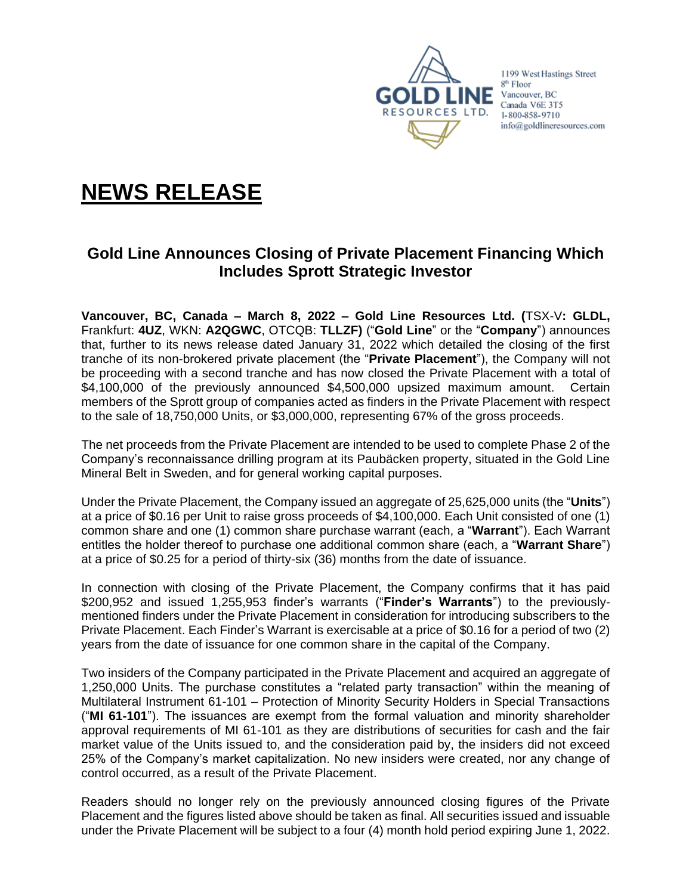

1199 West Hastings Street 8<sup>th</sup> Floor Vancouver, BC Canada V6E 3T5 1-800-858-9710 info@goldlineresources.com

# **NEWS RELEASE**

## **Gold Line Announces Closing of Private Placement Financing Which Includes Sprott Strategic Investor**

**Vancouver, BC, Canada – March 8, 2022 – Gold Line Resources Ltd. (**TSX-V**: GLDL,**  Frankfurt: **4UZ**, WKN: **A2QGWC**, OTCQB: **TLLZF)** ("**Gold Line**" or the "**Company**") announces that, further to its news release dated January 31, 2022 which detailed the closing of the first tranche of its non-brokered private placement (the "**Private Placement**"), the Company will not be proceeding with a second tranche and has now closed the Private Placement with a total of \$4,100,000 of the previously announced \$4,500,000 upsized maximum amount. Certain members of the Sprott group of companies acted as finders in the Private Placement with respect to the sale of 18,750,000 Units, or \$3,000,000, representing 67% of the gross proceeds.

The net proceeds from the Private Placement are intended to be used to complete Phase 2 of the Company's reconnaissance drilling program at its Paubäcken property, situated in the Gold Line Mineral Belt in Sweden, and for general working capital purposes.

Under the Private Placement, the Company issued an aggregate of 25,625,000 units (the "**Units**") at a price of \$0.16 per Unit to raise gross proceeds of \$4,100,000. Each Unit consisted of one (1) common share and one (1) common share purchase warrant (each, a "**Warrant**"). Each Warrant entitles the holder thereof to purchase one additional common share (each, a "**Warrant Share**") at a price of \$0.25 for a period of thirty-six (36) months from the date of issuance.

In connection with closing of the Private Placement, the Company confirms that it has paid \$200,952 and issued 1,255,953 finder's warrants ("**Finder's Warrants**") to the previouslymentioned finders under the Private Placement in consideration for introducing subscribers to the Private Placement. Each Finder's Warrant is exercisable at a price of \$0.16 for a period of two (2) years from the date of issuance for one common share in the capital of the Company.

Two insiders of the Company participated in the Private Placement and acquired an aggregate of 1,250,000 Units. The purchase constitutes a "related party transaction" within the meaning of Multilateral Instrument 61-101 – Protection of Minority Security Holders in Special Transactions ("**MI 61-101**"). The issuances are exempt from the formal valuation and minority shareholder approval requirements of MI 61-101 as they are distributions of securities for cash and the fair market value of the Units issued to, and the consideration paid by, the insiders did not exceed 25% of the Company's market capitalization. No new insiders were created, nor any change of control occurred, as a result of the Private Placement.

Readers should no longer rely on the previously announced closing figures of the Private Placement and the figures listed above should be taken as final. All securities issued and issuable under the Private Placement will be subject to a four (4) month hold period expiring June 1, 2022.